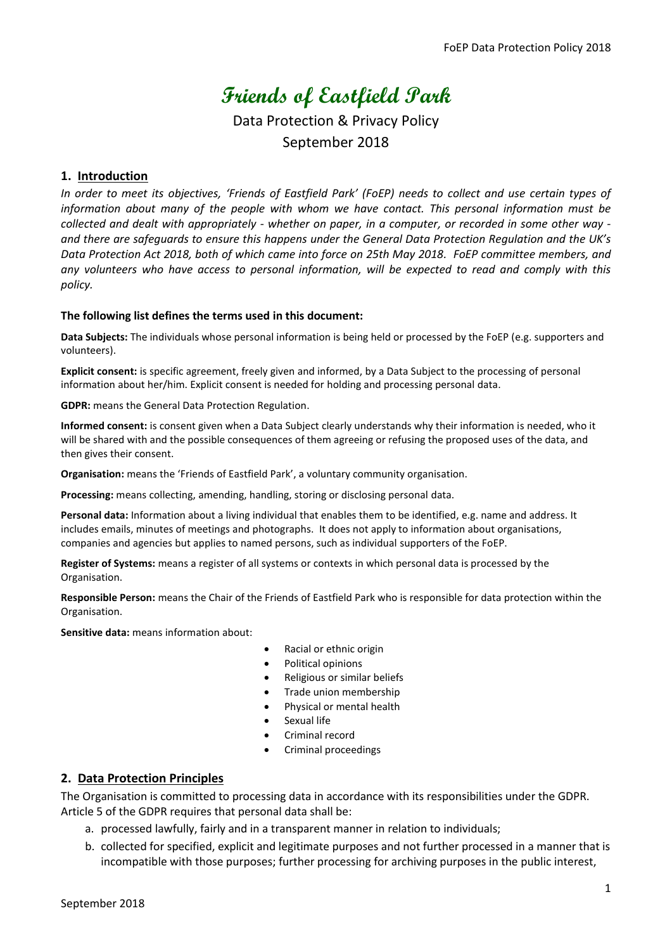# **Friends of Eastfield Park**

Data Protection & Privacy Policy September 2018

# **1. Introduction**

*In order to meet its objectives, 'Friends of Eastfield Park' (FoEP) needs to collect and use certain types of information about many of the people with whom we have contact. This personal information must be collected and dealt with appropriately - whether on paper, in a computer, or recorded in some other way and there are safequards to ensure this happens under the General Data Protection Regulation and the UK's Data Protection Act 2018, both of which came into force on 25th May 2018. FoEP committee members, and any volunteers who have access to personal information, will be expected to read and comply with this policy.*

#### **The following list defines the terms used in this document:**

**Data Subjects:** The individuals whose personal information is being held or processed by the FoEP (e.g. supporters and volunteers).

**Explicit consent:** is specific agreement, freely given and informed, by a Data Subject to the processing of personal information about her/him. Explicit consent is needed for holding and processing personal data.

**GDPR:** means the General Data Protection Regulation.

**Informed consent:** is consent given when a Data Subject clearly understands why their information is needed, who it will be shared with and the possible consequences of them agreeing or refusing the proposed uses of the data, and then gives their consent.

**Organisation:** means the 'Friends of Eastfield Park', a voluntary community organisation.

**Processing:** means collecting, amending, handling, storing or disclosing personal data.

**Personal data:** Information about a living individual that enables them to be identified, e.g. name and address. It includes emails, minutes of meetings and photographs. It does not apply to information about organisations, companies and agencies but applies to named persons, such as individual supporters of the FoEP.

**Register of Systems:** means a register of all systems or contexts in which personal data is processed by the Organisation.

**Responsible Person:** means the Chair of the Friends of Eastfield Park who is responsible for data protection within the Organisation.

**Sensitive data:** means information about:

- Racial or ethnic origin
- Political opinions
- Religious or similar beliefs
- Trade union membership
- Physical or mental health
- Sexual life
- Criminal record
- Criminal proceedings

# **2. Data Protection Principles**

The Organisation is committed to processing data in accordance with its responsibilities under the GDPR. Article 5 of the GDPR requires that personal data shall be:

- a. processed lawfully, fairly and in a transparent manner in relation to individuals;
- b. collected for specified, explicit and legitimate purposes and not further processed in a manner that is incompatible with those purposes; further processing for archiving purposes in the public interest,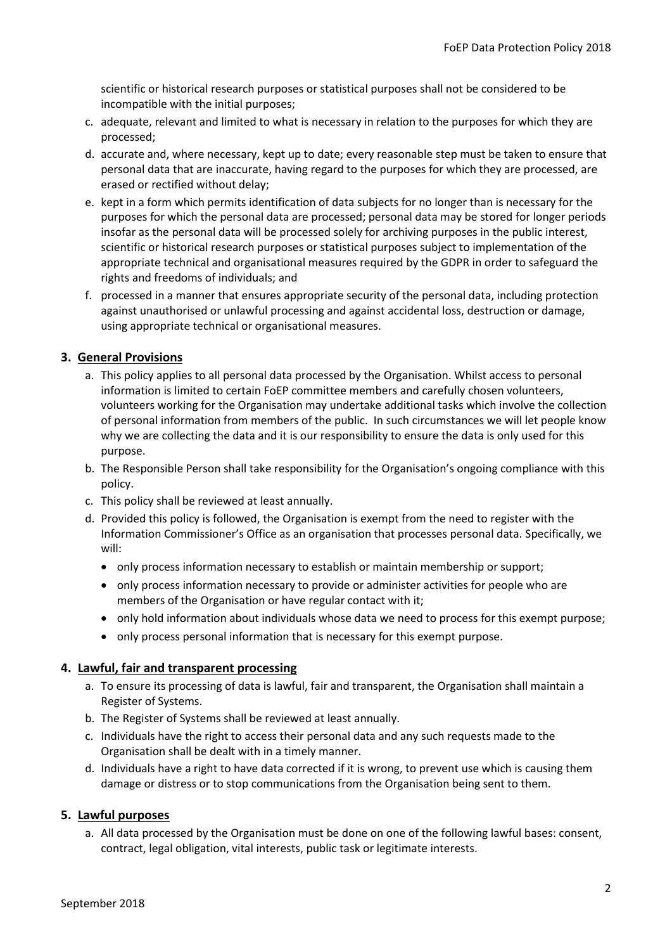scientific or historical research purposes or statistical purposes shall not be considered to be incompatible with the initial purposes;

- c. adequate, relevant and limited to what is necessary in relation to the purposes for which they are processed;
- d. accurate and, where necessary, kept up to date; every reasonable step must be taken to ensure that personal data that are inaccurate, having regard to the purposes for which they are processed, are erased or rectified without delay;
- e. kept in a form which permits identification of data subjects for no longer than is necessary for the purposes for which the personal data are processed; personal data may be stored for longer periods insofar as the personal data will be processed solely for archiving purposes in the public interest, scientific or historical research purposes or statistical purposes subject to implementation of the appropriate technical and organisational measures required by the GDPR in order to safeguard the rights and freedoms of individuals; and
- f. processed in a manner that ensures appropriate security of the personal data, including protection against unauthorised or unlawful processing and against accidental loss, destruction or damage, using appropriate technical or organisational measures.

# **3. General Provisions**

- a. This policy applies to all personal data processed by the Organisation. Whilst access to personal information is limited to certain FoEP committee members and carefully chosen volunteers, volunteers working for the Organisation may undertake additional tasks which involve the collection of personal information from members of the public. In such circumstances we will let people know why we are collecting the data and it is our responsibility to ensure the data is only used for this purpose.
- b. The Responsible Person shall take responsibility for the Organisation's ongoing compliance with this policy.
- c. This policy shall be reviewed at least annually.
- d. Provided this policy is followed, the Organisation is exempt from the need to register with the Information Commissioner's Office as an organisation that processes personal data. Specifically, we will:
	- only process information necessary to establish or maintain membership or support;
	- only process information necessary to provide or administer activities for people who are members of the Organisation or have regular contact with it;
	- only hold information about individuals whose data we need to process for this exempt purpose;
	- only process personal information that is necessary for this exempt purpose.

# **4. Lawful, fair and transparent processing**

- a. To ensure its processing of data is lawful, fair and transparent, the Organisation shall maintain a Register of Systems.
- b. The Register of Systems shall be reviewed at least annually.
- c. Individuals have the right to access their personal data and any such requests made to the Organisation shall be dealt with in a timely manner.
- d. Individuals have a right to have data corrected if it is wrong, to prevent use which is causing them damage or distress or to stop communications from the Organisation being sent to them.

# **5. Lawful purposes**

a. All data processed by the Organisation must be done on one of the following lawful bases: consent, contract, legal obligation, vital interests, public task or legitimate interests.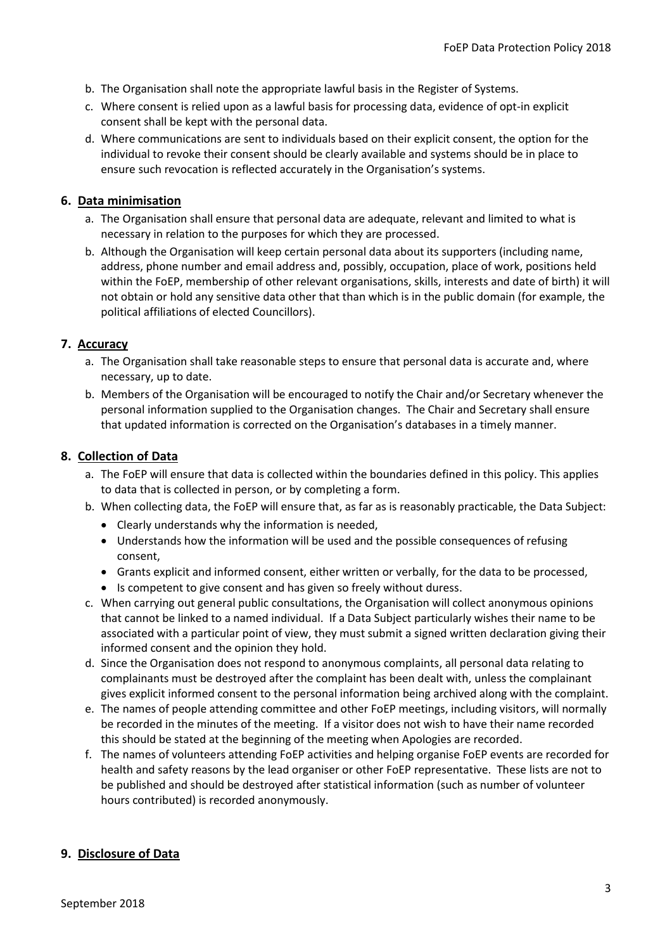- b. The Organisation shall note the appropriate lawful basis in the Register of Systems.
- c. Where consent is relied upon as a lawful basis for processing data, evidence of opt-in explicit consent shall be kept with the personal data.
- d. Where communications are sent to individuals based on their explicit consent, the option for the individual to revoke their consent should be clearly available and systems should be in place to ensure such revocation is reflected accurately in the Organisation's systems.

#### **6. Data minimisation**

- a. The Organisation shall ensure that personal data are adequate, relevant and limited to what is necessary in relation to the purposes for which they are processed.
- b. Although the Organisation will keep certain personal data about its supporters (including name, address, phone number and email address and, possibly, occupation, place of work, positions held within the FoEP, membership of other relevant organisations, skills, interests and date of birth) it will not obtain or hold any sensitive data other that than which is in the public domain (for example, the political affiliations of elected Councillors).

# **7. Accuracy**

- a. The Organisation shall take reasonable steps to ensure that personal data is accurate and, where necessary, up to date.
- b. Members of the Organisation will be encouraged to notify the Chair and/or Secretary whenever the personal information supplied to the Organisation changes. The Chair and Secretary shall ensure that updated information is corrected on the Organisation's databases in a timely manner.

#### **8. Collection of Data**

- a. The FoEP will ensure that data is collected within the boundaries defined in this policy. This applies to data that is collected in person, or by completing a form.
- b. When collecting data, the FoEP will ensure that, as far as is reasonably practicable, the Data Subject:
	- Clearly understands why the information is needed,
	- Understands how the information will be used and the possible consequences of refusing consent,
	- Grants explicit and informed consent, either written or verbally, for the data to be processed,
	- Is competent to give consent and has given so freely without duress.
- c. When carrying out general public consultations, the Organisation will collect anonymous opinions that cannot be linked to a named individual. If a Data Subject particularly wishes their name to be associated with a particular point of view, they must submit a signed written declaration giving their informed consent and the opinion they hold.
- d. Since the Organisation does not respond to anonymous complaints, all personal data relating to complainants must be destroyed after the complaint has been dealt with, unless the complainant gives explicit informed consent to the personal information being archived along with the complaint.
- e. The names of people attending committee and other FoEP meetings, including visitors, will normally be recorded in the minutes of the meeting. If a visitor does not wish to have their name recorded this should be stated at the beginning of the meeting when Apologies are recorded.
- f. The names of volunteers attending FoEP activities and helping organise FoEP events are recorded for health and safety reasons by the lead organiser or other FoEP representative. These lists are not to be published and should be destroyed after statistical information (such as number of volunteer hours contributed) is recorded anonymously.

# **9. Disclosure of Data**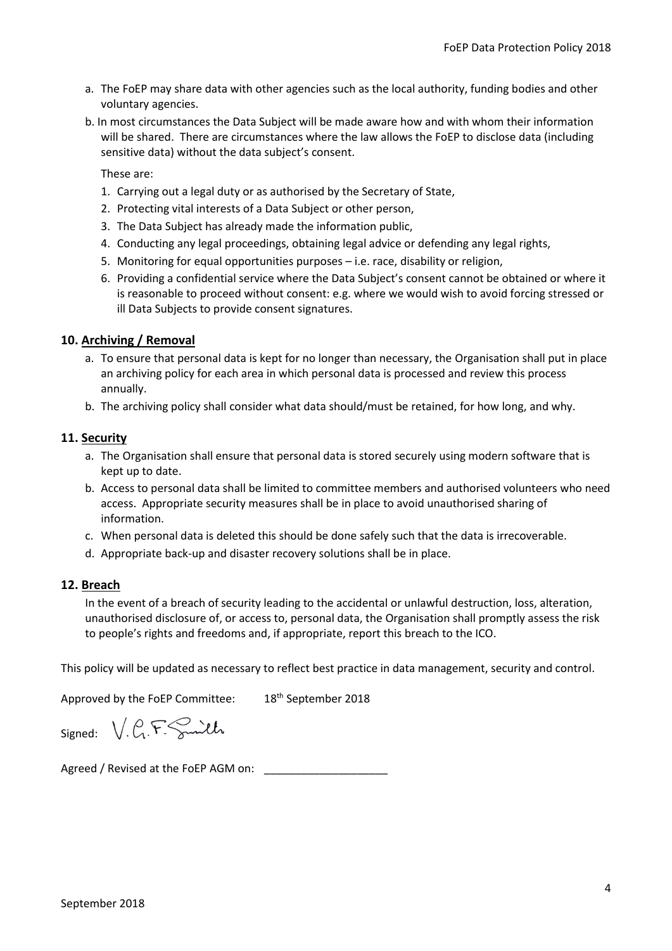- a. The FoEP may share data with other agencies such as the local authority, funding bodies and other voluntary agencies.
- b. In most circumstances the Data Subject will be made aware how and with whom their information will be shared. There are circumstances where the law allows the FoEP to disclose data (including sensitive data) without the data subject's consent.

These are:

- 1. Carrying out a legal duty or as authorised by the Secretary of State,
- 2. Protecting vital interests of a Data Subject or other person,
- 3. The Data Subject has already made the information public,
- 4. Conducting any legal proceedings, obtaining legal advice or defending any legal rights,
- 5. Monitoring for equal opportunities purposes i.e. race, disability or religion,
- 6. Providing a confidential service where the Data Subject's consent cannot be obtained or where it is reasonable to proceed without consent: e.g. where we would wish to avoid forcing stressed or ill Data Subjects to provide consent signatures.

#### **10. Archiving / Removal**

- a. To ensure that personal data is kept for no longer than necessary, the Organisation shall put in place an archiving policy for each area in which personal data is processed and review this process annually.
- b. The archiving policy shall consider what data should/must be retained, for how long, and why.

#### **11. Security**

- a. The Organisation shall ensure that personal data is stored securely using modern software that is kept up to date.
- b. Access to personal data shall be limited to committee members and authorised volunteers who need access. Appropriate security measures shall be in place to avoid unauthorised sharing of information.
- c. When personal data is deleted this should be done safely such that the data is irrecoverable.
- d. Appropriate back-up and disaster recovery solutions shall be in place.

#### **12. Breach**

In the event of a breach of security leading to the accidental or unlawful destruction, loss, alteration, unauthorised disclosure of, or access to, personal data, the Organisation shall promptly assess the risk to people's rights and freedoms and, if appropriate, report this breach to the ICO.

This policy will be updated as necessary to reflect best practice in data management, security and control.

Approved by the FoEP Committee: 18<sup>th</sup> September 2018

Signed: V.C.F. Smith

Agreed / Revised at the FoEP AGM on: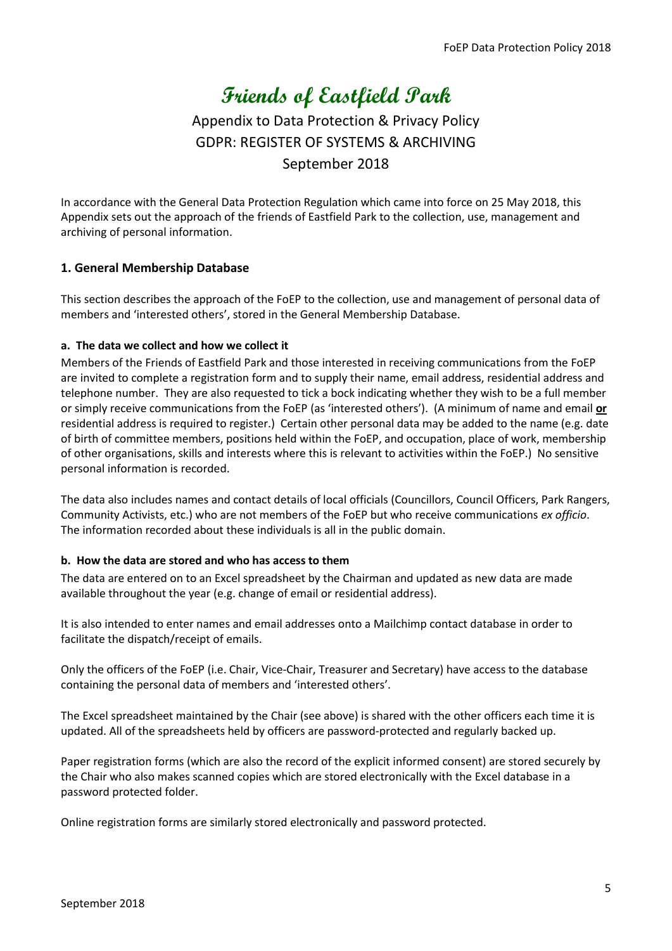# **Friends of Eastfield Park**

# Appendix to Data Protection & Privacy Policy GDPR: REGISTER OF SYSTEMS & ARCHIVING September 2018

In accordance with the General Data Protection Regulation which came into force on 25 May 2018, this Appendix sets out the approach of the friends of Eastfield Park to the collection, use, management and archiving of personal information.

# **1. General Membership Database**

This section describes the approach of the FoEP to the collection, use and management of personal data of members and 'interested others', stored in the General Membership Database.

#### **a. The data we collect and how we collect it**

Members of the Friends of Eastfield Park and those interested in receiving communications from the FoEP are invited to complete a registration form and to supply their name, email address, residential address and telephone number. They are also requested to tick a bock indicating whether they wish to be a full member or simply receive communications from the FoEP (as 'interested others'). (A minimum of name and email **or** residential address is required to register.) Certain other personal data may be added to the name (e.g. date of birth of committee members, positions held within the FoEP, and occupation, place of work, membership of other organisations, skills and interests where this is relevant to activities within the FoEP.) No sensitive personal information is recorded.

The data also includes names and contact details of local officials (Councillors, Council Officers, Park Rangers, Community Activists, etc.) who are not members of the FoEP but who receive communications *ex officio*. The information recorded about these individuals is all in the public domain.

#### **b. How the data are stored and who has access to them**

The data are entered on to an Excel spreadsheet by the Chairman and updated as new data are made available throughout the year (e.g. change of email or residential address).

It is also intended to enter names and email addresses onto a Mailchimp contact database in order to facilitate the dispatch/receipt of emails.

Only the officers of the FoEP (i.e. Chair, Vice-Chair, Treasurer and Secretary) have access to the database containing the personal data of members and 'interested others'.

The Excel spreadsheet maintained by the Chair (see above) is shared with the other officers each time it is updated. All of the spreadsheets held by officers are password-protected and regularly backed up.

Paper registration forms (which are also the record of the explicit informed consent) are stored securely by the Chair who also makes scanned copies which are stored electronically with the Excel database in a password protected folder.

Online registration forms are similarly stored electronically and password protected.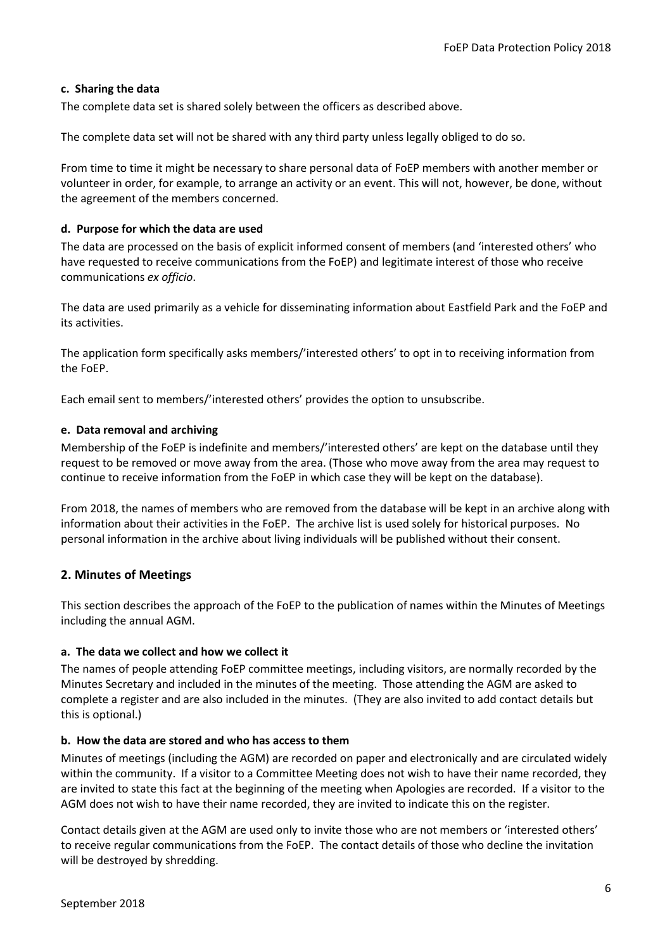#### **c. Sharing the data**

The complete data set is shared solely between the officers as described above.

The complete data set will not be shared with any third party unless legally obliged to do so.

From time to time it might be necessary to share personal data of FoEP members with another member or volunteer in order, for example, to arrange an activity or an event. This will not, however, be done, without the agreement of the members concerned.

#### **d. Purpose for which the data are used**

The data are processed on the basis of explicit informed consent of members (and 'interested others' who have requested to receive communications from the FoEP) and legitimate interest of those who receive communications *ex officio*.

The data are used primarily as a vehicle for disseminating information about Eastfield Park and the FoEP and its activities.

The application form specifically asks members/'interested others' to opt in to receiving information from the FoEP.

Each email sent to members/'interested others' provides the option to unsubscribe.

#### **e. Data removal and archiving**

Membership of the FoEP is indefinite and members/'interested others' are kept on the database until they request to be removed or move away from the area. (Those who move away from the area may request to continue to receive information from the FoEP in which case they will be kept on the database).

From 2018, the names of members who are removed from the database will be kept in an archive along with information about their activities in the FoEP. The archive list is used solely for historical purposes. No personal information in the archive about living individuals will be published without their consent.

# **2. Minutes of Meetings**

This section describes the approach of the FoEP to the publication of names within the Minutes of Meetings including the annual AGM.

# **a. The data we collect and how we collect it**

The names of people attending FoEP committee meetings, including visitors, are normally recorded by the Minutes Secretary and included in the minutes of the meeting. Those attending the AGM are asked to complete a register and are also included in the minutes. (They are also invited to add contact details but this is optional.)

# **b. How the data are stored and who has access to them**

Minutes of meetings (including the AGM) are recorded on paper and electronically and are circulated widely within the community. If a visitor to a Committee Meeting does not wish to have their name recorded, they are invited to state this fact at the beginning of the meeting when Apologies are recorded. If a visitor to the AGM does not wish to have their name recorded, they are invited to indicate this on the register.

Contact details given at the AGM are used only to invite those who are not members or 'interested others' to receive regular communications from the FoEP. The contact details of those who decline the invitation will be destroyed by shredding.